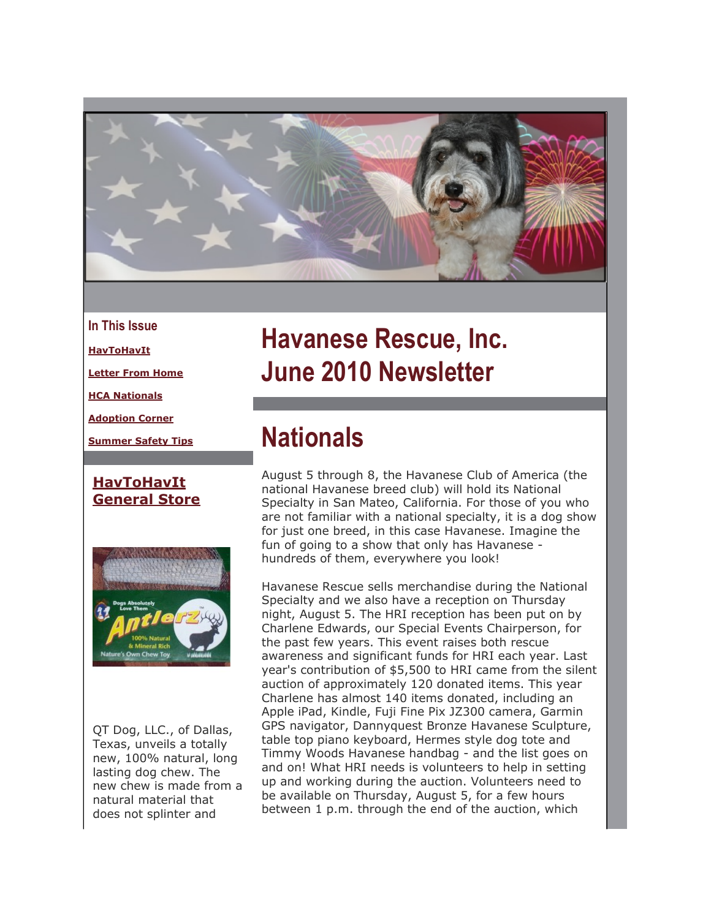

- **In This Issue**
- **[HavToHavIt](https://mail.google.com/mail/?ui=2&view=bsp&ver=ohhl4rw8mbn4#12940dfc5aef267b_LETTER.BLOCK4)**

**[Letter From Home](https://mail.google.com/mail/?ui=2&view=bsp&ver=ohhl4rw8mbn4#12940dfc5aef267b_LETTER.BLOCK6)**

**[HCA Nationals](https://mail.google.com/mail/?ui=2&view=bsp&ver=ohhl4rw8mbn4#12940dfc5aef267b_LETTER.BLOCK13)**

**[Adoption Corner](https://mail.google.com/mail/?ui=2&view=bsp&ver=ohhl4rw8mbn4#12940dfc5aef267b_LETTER.BLOCK15)**

**[Summer Safety Tips](https://mail.google.com/mail/?ui=2&view=bsp&ver=ohhl4rw8mbn4#12940dfc5aef267b_LETTER.BLOCK16)**

#### **[HavToHavIt](http://r20.rs6.net/tn.jsp?et=1103478888109&s=2126&e=001gZ1iDviq6yZ4xb1_x3UHZnXE7cLbIcIkx4nN3EVUf8GBFtYQbUXA8bUaE81jM78LaEpSRzp7IMaPp4kbSTioivrpW2xwGcdP3J9CR6UkbajH9elysBrK3w==) [General Store](http://r20.rs6.net/tn.jsp?et=1103478888109&s=2126&e=001gZ1iDviq6yZ4xb1_x3UHZnXE7cLbIcIkx4nN3EVUf8GBFtYQbUXA8bUaE81jM78LaEpSRzp7IMaPp4kbSTioivrpW2xwGcdP3J9CR6UkbajH9elysBrK3w==)**



QT Dog, LLC., of Dallas, Texas, unveils a totally new, 100% natural, long lasting dog chew. The new chew is made from a natural material that does not splinter and

# **Havanese Rescue, Inc. June 2010 Newsletter**

## **Nationals**

August 5 through 8, the Havanese Club of America (the national Havanese breed club) will hold its National Specialty in San Mateo, California. For those of you who are not familiar with a national specialty, it is a dog show for just one breed, in this case Havanese. Imagine the fun of going to a show that only has Havanese hundreds of them, everywhere you look!

Havanese Rescue sells merchandise during the National Specialty and we also have a reception on Thursday night, August 5. The HRI reception has been put on by Charlene Edwards, our Special Events Chairperson, for the past few years. This event raises both rescue awareness and significant funds for HRI each year. Last year's contribution of \$5,500 to HRI came from the silent auction of approximately 120 donated items. This year Charlene has almost 140 items donated, including an Apple iPad, Kindle, Fuji Fine Pix JZ300 camera, Garmin GPS navigator, Dannyquest Bronze Havanese Sculpture, table top piano keyboard, Hermes style dog tote and Timmy Woods Havanese handbag - and the list goes on and on! What HRI needs is volunteers to help in setting up and working during the auction. Volunteers need to be available on Thursday, August 5, for a few hours between 1 p.m. through the end of the auction, which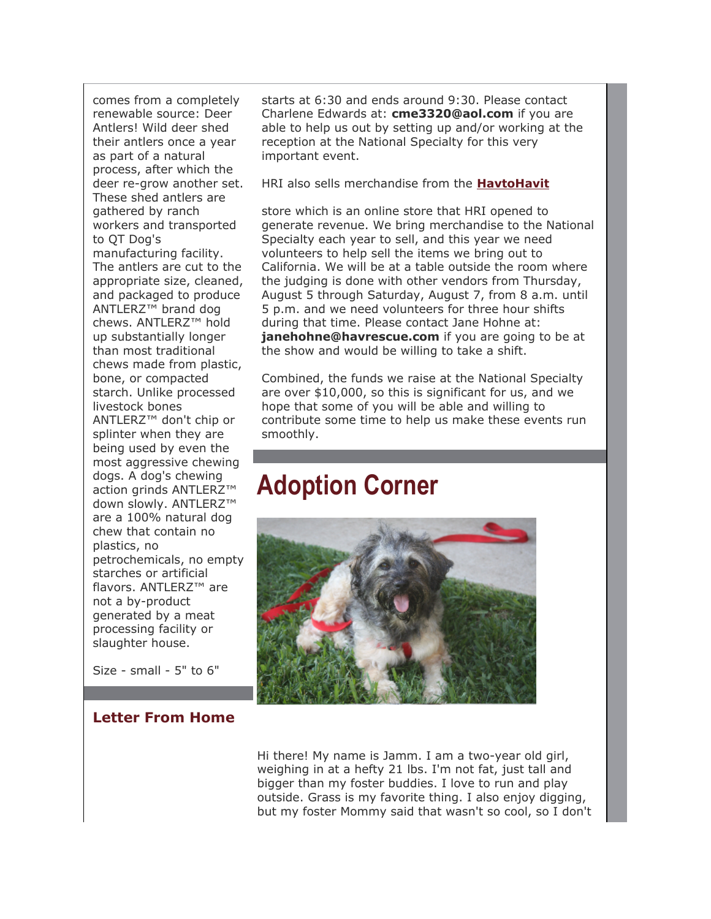comes from a completely renewable source: Deer Antlers! Wild deer shed their antlers once a year as part of a natural process, after which the deer re-grow another set. These shed antlers are gathered by ranch workers and transported to QT Dog's manufacturing facility. The antlers are cut to the appropriate size, cleaned, and packaged to produce ANTLERZ™ brand dog chews. ANTLERZ™ hold up substantially longer than most traditional chews made from plastic, bone, or compacted starch. Unlike processed livestock bones ANTLERZ™ don't chip or splinter when they are being used by even the most aggressive chewing dogs. A dog's chewing action grinds ANTLERZ™ down slowly. ANTLERZ™ are a 100% natural dog chew that contain no plastics, no petrochemicals, no empty starches or artificial flavors. ANTLERZ™ are not a by-product generated by a meat processing facility or slaughter house.

Size - small - 5" to 6"

#### **Letter From Home**

starts at 6:30 and ends around 9:30. Please contact Charlene Edwards at: **cme3320@aol.com** if you are able to help us out by setting up and/or working at the reception at the National Specialty for this very important event.

HRI also sells merchandise from the **[HavtoHavit](http://r20.rs6.net/tn.jsp?et=1103478888109&s=2126&e=001gZ1iDviq6yZ4xb1_x3UHZnXE7cLbIcIkx4nN3EVUf8GBFtYQbUXA8bUaE81jM78LaEpSRzp7IMaPp4kbSTioivrpW2xwGcdP3J9CR6UkbajH9elysBrK3w==)**

store which is an online store that HRI opened to generate revenue. We bring merchandise to the National Specialty each year to sell, and this year we need volunteers to help sell the items we bring out to California. We will be at a table outside the room where the judging is done with other vendors from Thursday, August 5 through Saturday, August 7, from 8 a.m. until 5 p.m. and we need volunteers for three hour shifts during that time. Please contact Jane Hohne at: **janehohne@havrescue.com** if you are going to be at the show and would be willing to take a shift.

Combined, the funds we raise at the National Specialty are over \$10,000, so this is significant for us, and we hope that some of you will be able and willing to contribute some time to help us make these events run smoothly.

## **Adoption Corner**



Hi there! My name is Jamm. I am a two-year old girl, weighing in at a hefty 21 lbs. I'm not fat, just tall and bigger than my foster buddies. I love to run and play outside. Grass is my favorite thing. I also enjoy digging, but my foster Mommy said that wasn't so cool, so I don't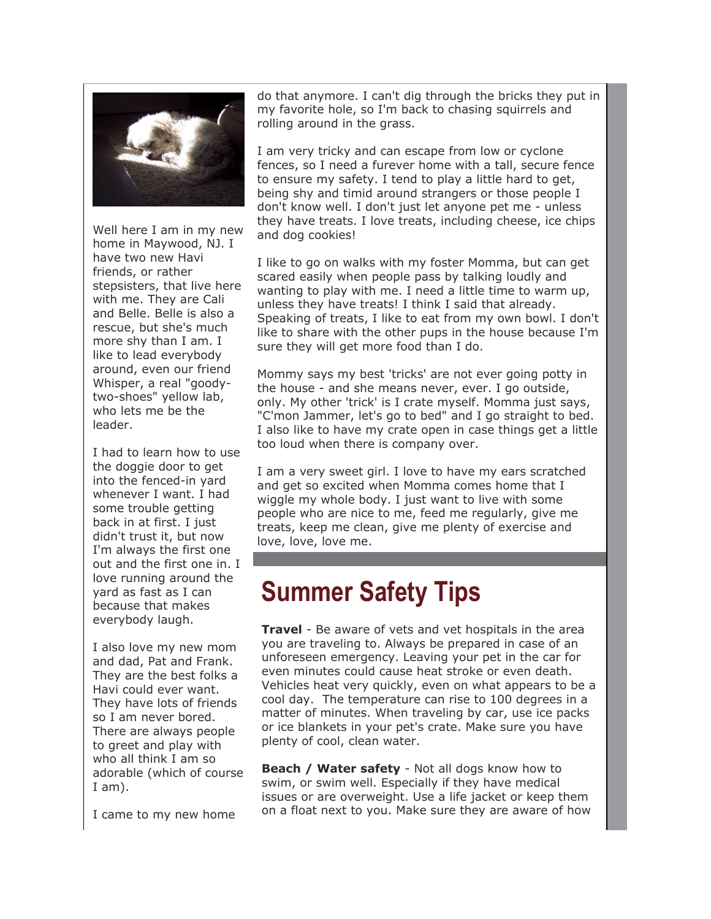

Well here I am in my new home in Maywood, NJ. I have two new Havi friends, or rather stepsisters, that live here with me. They are Cali and Belle. Belle is also a rescue, but she's much more shy than I am. I like to lead everybody around, even our friend Whisper, a real "goodytwo-shoes" yellow lab, who lets me be the leader.

I had to learn how to use the doggie door to get into the fenced-in yard whenever I want. I had some trouble getting back in at first. I just didn't trust it, but now I'm always the first one out and the first one in. I love running around the yard as fast as I can because that makes everybody laugh.

I also love my new mom and dad, Pat and Frank. They are the best folks a Havi could ever want. They have lots of friends so I am never bored. There are always people to greet and play with who all think I am so adorable (which of course I am).

I came to my new home

do that anymore. I can't dig through the bricks they put in my favorite hole, so I'm back to chasing squirrels and rolling around in the grass.

I am very tricky and can escape from low or cyclone fences, so I need a furever home with a tall, secure fence to ensure my safety. I tend to play a little hard to get, being shy and timid around strangers or those people I don't know well. I don't just let anyone pet me - unless they have treats. I love treats, including cheese, ice chips and dog cookies!

I like to go on walks with my foster Momma, but can get scared easily when people pass by talking loudly and wanting to play with me. I need a little time to warm up, unless they have treats! I think I said that already. Speaking of treats, I like to eat from my own bowl. I don't like to share with the other pups in the house because I'm sure they will get more food than I do.

Mommy says my best 'tricks' are not ever going potty in the house - and she means never, ever. I go outside, only. My other 'trick' is I crate myself. Momma just says, "C'mon Jammer, let's go to bed" and I go straight to bed. I also like to have my crate open in case things get a little too loud when there is company over.

I am a very sweet girl. I love to have my ears scratched and get so excited when Momma comes home that I wiggle my whole body. I just want to live with some people who are nice to me, feed me regularly, give me treats, keep me clean, give me plenty of exercise and love, love, love me.

### **Summer Safety Tips**

**Travel** - Be aware of vets and vet hospitals in the area you are traveling to. Always be prepared in case of an unforeseen emergency. Leaving your pet in the car for even minutes could cause heat stroke or even death. Vehicles heat very quickly, even on what appears to be a cool day. The temperature can rise to 100 degrees in a matter of minutes. When traveling by car, use ice packs or ice blankets in your pet's crate. Make sure you have plenty of cool, clean water.

**Beach / Water safety** - Not all dogs know how to swim, or swim well. Especially if they have medical issues or are overweight. Use a life jacket or keep them on a float next to you. Make sure they are aware of how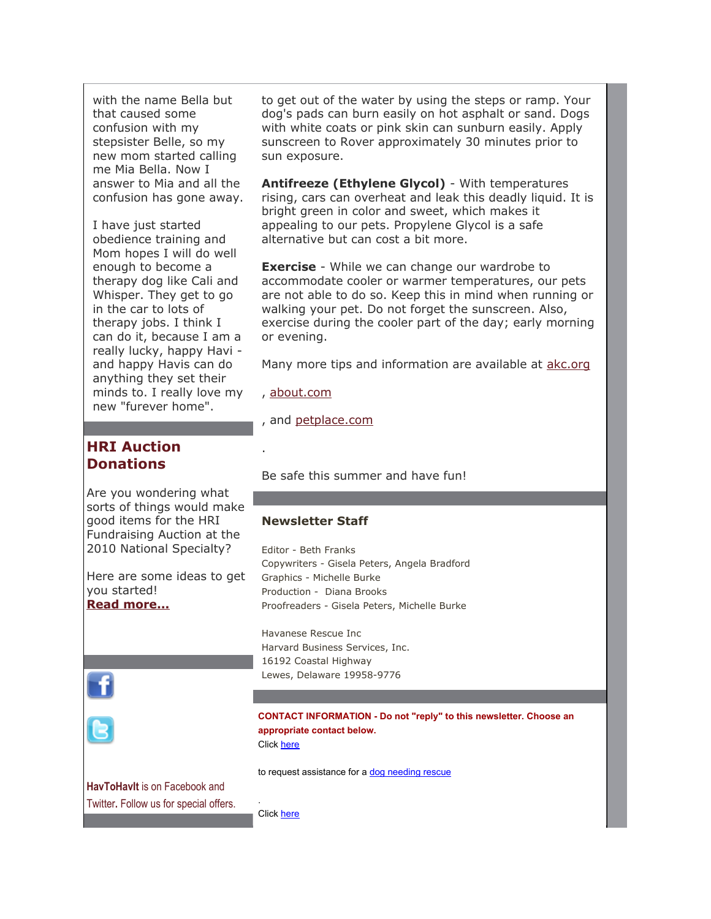with the name Bella but that caused some confusion with my stepsister Belle, so my new mom started calling me Mia Bella. Now I answer to Mia and all the confusion has gone away.

I have just started obedience training and Mom hopes I will do well enough to become a therapy dog like Cali and Whisper. They get to go in the car to lots of therapy jobs. I think I can do it, because I am a really lucky, happy Havi and happy Havis can do anything they set their minds to. I really love my new "furever home".

**HRI Auction Donations**

Are you wondering what sorts of things would make good items for the HRI Fundraising Auction at the 2010 National Specialty?

Here are some ideas to get you started! **[Read more...](http://r20.rs6.net/tn.jsp?et=1103478888109&s=2126&e=001gZ1iDviq6yZKAxRQu3w-5CRxCQqzgAGyFEpUC5onkgVbWkdMVxXUg405Y-D5gWKytX3_ODBq_33VDzyYWCV9Wq09ahBsW3MERZv1wDZR_hnkKnTG1FvSvHlPXXdXv7TKZvAqRZzGTy5iF6OJqwz-PCI1_zL2mFE9TIw-Ckr5mAHKytmMpI0XL-1lprDrz4tIOhCgIFbo4V-VzH3BoqCaRti3dMrvQPK5rT_OJGptbbLZMJZboRp6SOv8uS2gNtG8)**



**CONTACT INFORMATION - Do not "reply" to this newsletter. Choose an appropriate contact below.** Click [here](http://r20.rs6.net/tn.jsp?et=1103478888109&s=2126&e=001gZ1iDviq6yZibULBZRgwnoG3TtGvdMPS5PLhx93bXthkYJJ0JOkYsBsSSS-RRo9fspL2N2gXHwg2RnLyEb4QE6laj-N6pICygfRNUBT13zi7nkaQ8Eri3hGovLE1uklYQb1xRSPUK9Q=)

**HavToHavIt** is on Facebook and Twitter**.** Follow us for special offers. to get out of the water by using the steps or ramp. Your dog's pads can burn easily on hot asphalt or sand. Dogs with white coats or pink skin can sunburn easily. Apply sunscreen to Rover approximately 30 minutes prior to sun exposure.

**Antifreeze (Ethylene Glycol)** - With temperatures rising, cars can overheat and leak this deadly liquid. It is bright green in color and sweet, which makes it appealing to our pets. Propylene Glycol is a safe alternative but can cost a bit more.

**Exercise** - While we can change our wardrobe to accommodate cooler or warmer temperatures, our pets are not able to do so. Keep this in mind when running or walking your pet. Do not forget the sunscreen. Also, exercise during the cooler part of the day; early morning or evening.

Many more tips and information are available at [akc.org](http://r20.rs6.net/tn.jsp?et=1103478888109&s=2126&e=001gZ1iDviq6yac9ddQ1wT6YQim7_9uo0xauuM-dQ-rxh87YeK3UTK_o1KMlf1ctt7ZJL0vrEAIBPZXIirgo9pSNtvFq4P7pkq9oXpoycEvsfQ=)

, [about.com](http://r20.rs6.net/tn.jsp?et=1103478888109&s=2126&e=001gZ1iDviq6yYPm6JIg0qxujjB5FODESeDElu9370BCP2DL0L0YmrXfFdfja-F0mjdtJkA2fFq_ZOcH6_UpXS1FO6VKJU9133LtAIKQ6qR5n8=)

.

, and [petplace.com](http://r20.rs6.net/tn.jsp?et=1103478888109&s=2126&e=001gZ1iDviq6ybKaAa41GtSxOUIoZBbHUb3tfRQx2iZ4ozVNBZ4Dp6zjrVeyNJYa_nriiZJgzKfsQjdQflBPH1-_0tO5977nHHMD1AlsGp_qqc=)

Be safe this summer and have fun!

#### **Newsletter Staff**

Editor - Beth Franks Copywriters - Gisela Peters, Angela Bradford Graphics - Michelle Burke Production - Diana Brooks Proofreaders - Gisela Peters, Michelle Burke

Havanese Rescue Inc Harvard Business Services, Inc. 16192 Coastal Highway Lewes, Delaware 19958-9776

to request assistance for a [dog needing rescue](http://r20.rs6.net/tn.jsp?et=1103478888109&s=2126&e=001gZ1iDviq6yZibULBZRgwnoG3TtGvdMPS5PLhx93bXthkYJJ0JOkYsBsSSS-RRo9fspL2N2gXHwg2RnLyEb4QE6laj-N6pICygfRNUBT13zi7nkaQ8Eri3hGovLE1uklYQb1xRSPUK9Q=)

Click [here](http://r20.rs6.net/tn.jsp?et=1103478888109&s=2126&e=001gZ1iDviq6yYVfp32vavn0Vg-JvIX0CpPGJHiZAGAupWhHSef4XCQYr9KOuA-8-heSOcOkayUtPfX-b1Hw9U-nqRgX4VxNhfEEmaMejtPZy6vwQ2mw7g39WnlZuyp6Z60Vkltm8qKaFs=)

.